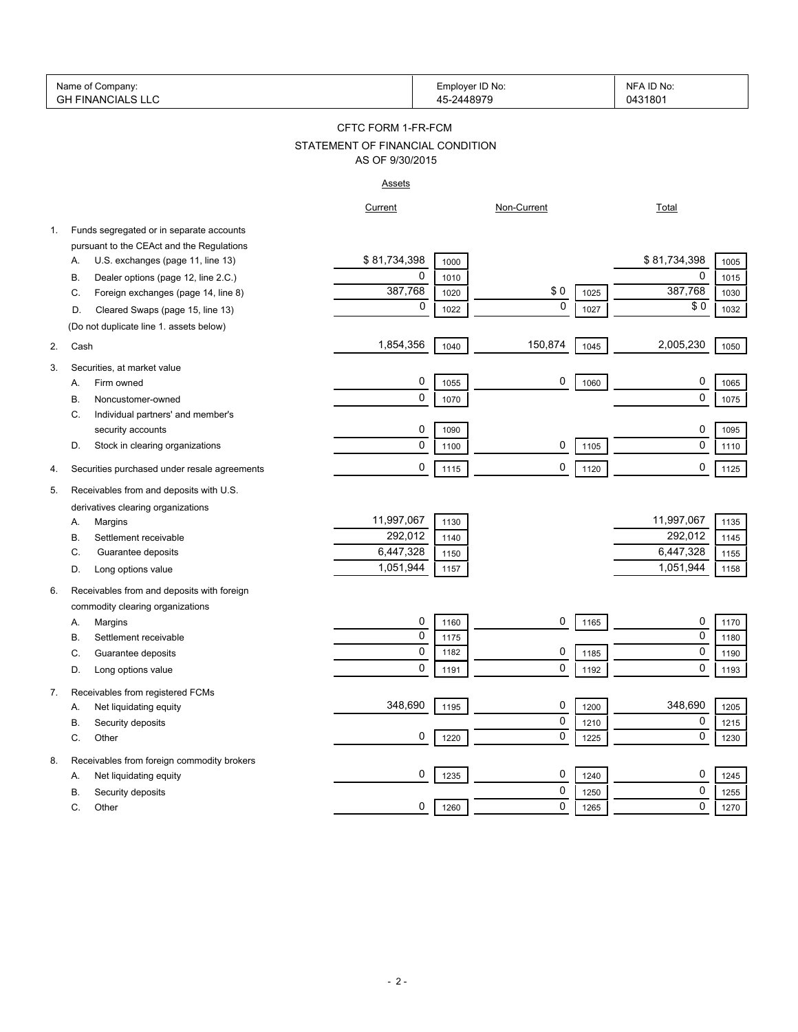|    | Name of Company:<br><b>GH FINANCIALS LLC</b>                 |                                  | Employer ID No:<br>45-2448979 |             |      | NFA ID No:<br>0431801 |      |
|----|--------------------------------------------------------------|----------------------------------|-------------------------------|-------------|------|-----------------------|------|
|    |                                                              | CFTC FORM 1-FR-FCM               |                               |             |      |                       |      |
|    |                                                              | STATEMENT OF FINANCIAL CONDITION |                               |             |      |                       |      |
|    |                                                              | AS OF 9/30/2015                  |                               |             |      |                       |      |
|    |                                                              | <b>Assets</b>                    |                               |             |      |                       |      |
|    |                                                              | Current                          |                               | Non-Current |      | <b>Total</b>          |      |
| 1. | Funds segregated or in separate accounts                     |                                  |                               |             |      |                       |      |
|    | pursuant to the CEAct and the Regulations                    |                                  |                               |             |      |                       |      |
|    | U.S. exchanges (page 11, line 13)<br>Α.                      | \$81,734,398                     | 1000                          |             |      | \$81,734,398          | 1005 |
|    | Dealer options (page 12, line 2.C.)<br>В.                    | 0                                | 1010                          |             |      | 0                     | 1015 |
|    | Foreign exchanges (page 14, line 8)<br>C.                    | 387,768                          | 1020                          | \$0         | 1025 | 387,768               | 1030 |
|    | Cleared Swaps (page 15, line 13)<br>D.                       | 0                                | 1022                          | $\mathbf 0$ | 1027 | \$0                   | 1032 |
|    | (Do not duplicate line 1. assets below)                      |                                  |                               |             |      |                       |      |
| 2. | Cash                                                         | 1,854,356                        | 1040                          | 150,874     | 1045 | 2,005,230             | 1050 |
|    |                                                              |                                  |                               |             |      |                       |      |
| 3. | Securities, at market value<br>Firm owned                    | 0                                |                               | 0           |      | 0                     |      |
|    | А.                                                           | 0                                | 1055                          |             | 1060 | 0                     | 1065 |
|    | Noncustomer-owned<br>В.                                      |                                  | 1070                          |             |      |                       | 1075 |
|    | Individual partners' and member's<br>С.<br>security accounts | 0                                |                               |             |      | 0                     |      |
|    | Stock in clearing organizations<br>D.                        | 0                                | 1090                          | 0           |      | $\mathbf 0$           | 1095 |
|    |                                                              |                                  | 1100                          |             | 1105 |                       | 1110 |
| 4. | Securities purchased under resale agreements                 | 0                                | 1115                          | 0           | 1120 | 0                     | 1125 |
| 5. | Receivables from and deposits with U.S.                      |                                  |                               |             |      |                       |      |
|    | derivatives clearing organizations                           |                                  |                               |             |      |                       |      |
|    | Margins<br>А.                                                | 11,997,067                       | 1130                          |             |      | 11,997,067            | 1135 |
|    | Settlement receivable<br>В.                                  | 292,012                          | 1140                          |             |      | 292,012               | 1145 |
|    | Guarantee deposits<br>C.                                     | 6,447,328                        | 1150                          |             |      | 6,447,328             | 1155 |
|    | Long options value<br>D.                                     | 1,051,944                        | 1157                          |             |      | 1,051,944             | 1158 |
| 6. | Receivables from and deposits with foreign                   |                                  |                               |             |      |                       |      |
|    | commodity clearing organizations                             |                                  |                               |             |      |                       |      |
|    | Margins<br>Α.                                                | 0                                | 1160                          | 0           | 1165 | 0                     | 1170 |
|    | В.<br>Settlement receivable                                  | 0                                | 1175                          |             |      | 0                     | 1180 |
|    | C.<br>Guarantee deposits                                     | $\Omega$                         | 1182                          | 0           | 1185 | $\Omega$              | 1190 |
|    | Long options value<br>D.                                     | 0                                | 1191                          | 0           | 1192 | 0                     | 1193 |
|    |                                                              |                                  |                               |             |      |                       |      |
| 7. | Receivables from registered FCMs                             | 348,690                          | 1195                          | 0           | 1200 | 348,690               | 1205 |
|    | Net liquidating equity<br>Α.<br>В.<br>Security deposits      |                                  |                               | 0           | 1210 | 0                     | 1215 |
|    | С.<br>Other                                                  | 0                                | 1220                          | 0           | 1225 | 0                     | 1230 |
|    |                                                              |                                  |                               |             |      |                       |      |
| 8. | Receivables from foreign commodity brokers                   |                                  |                               |             |      |                       |      |
|    | Net liquidating equity<br>Α.                                 | 0                                | 1235                          | 0           | 1240 | 0                     | 1245 |
|    | В.<br>Security deposits                                      |                                  |                               | 0           | 1250 | 0                     | 1255 |
|    | C.<br>Other                                                  | 0                                | 1260                          | 0           | 1265 | 0                     | 1270 |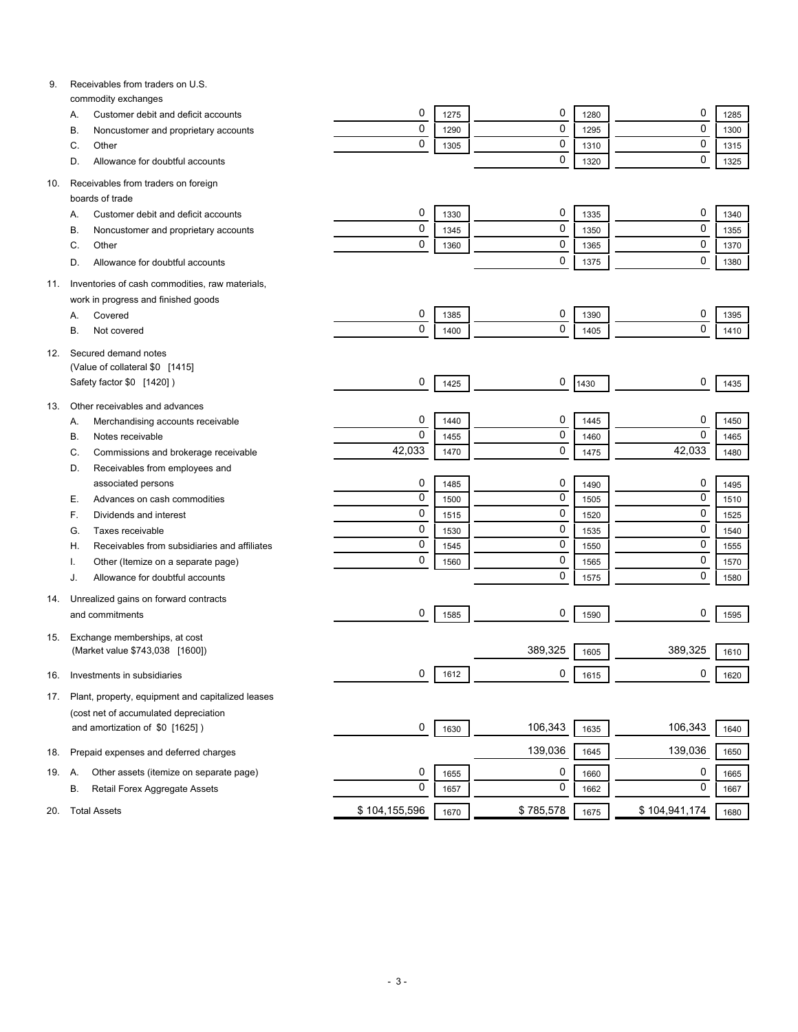| 9.  | Receivables from traders on U.S.                           |               |      |           |      |               |      |
|-----|------------------------------------------------------------|---------------|------|-----------|------|---------------|------|
|     | commodity exchanges<br>Customer debit and deficit accounts | 0             | 1275 | 0         | 1280 | 0             | 1285 |
|     | Α.<br>В.                                                   | $\mathbf 0$   | 1290 | 0         | 1295 | $\mathbf 0$   | 1300 |
|     | Noncustomer and proprietary accounts<br>Other              | $\mathbf 0$   | 1305 | 0         |      | $\mathbf 0$   | 1315 |
|     | C.                                                         |               |      | 0         | 1310 | $\mathbf 0$   |      |
|     | Allowance for doubtful accounts<br>D.                      |               |      |           | 1320 |               | 1325 |
| 10. | Receivables from traders on foreign                        |               |      |           |      |               |      |
|     | boards of trade                                            |               |      |           |      |               |      |
|     | Customer debit and deficit accounts<br>Α.                  | 0             | 1330 | 0         | 1335 | 0             | 1340 |
|     | Noncustomer and proprietary accounts<br>В.                 | 0             | 1345 | 0         | 1350 | $\mathbf 0$   | 1355 |
|     | Other<br>C.                                                | 0             | 1360 | 0         | 1365 | $\mathbf 0$   | 1370 |
|     | Allowance for doubtful accounts<br>D.                      |               |      | 0         | 1375 | $\mathbf 0$   | 1380 |
| 11. | Inventories of cash commodities, raw materials,            |               |      |           |      |               |      |
|     | work in progress and finished goods                        |               |      |           |      |               |      |
|     | Covered<br>Α.                                              | 0             | 1385 | 0         | 1390 | 0             | 1395 |
|     | В.<br>Not covered                                          | 0             | 1400 | 0         | 1405 | $\mathbf 0$   | 1410 |
|     |                                                            |               |      |           |      |               |      |
| 12. | Secured demand notes                                       |               |      |           |      |               |      |
|     | (Value of collateral \$0 [1415]                            |               |      |           |      |               |      |
|     | Safety factor \$0 [1420])                                  | 0             | 1425 | 0         | 1430 | 0             | 1435 |
| 13. | Other receivables and advances                             |               |      |           |      |               |      |
|     | Merchandising accounts receivable<br>А.                    | 0             | 1440 | 0         | 1445 | 0             | 1450 |
|     | Notes receivable<br>В.                                     | $\mathbf 0$   | 1455 | 0         | 1460 | $\mathbf 0$   | 1465 |
|     | Commissions and brokerage receivable<br>C.                 | 42,033        | 1470 | 0         | 1475 | 42,033        | 1480 |
|     | Receivables from employees and<br>D.                       |               |      |           |      |               |      |
|     | associated persons                                         | 0             | 1485 | 0         | 1490 | 0             | 1495 |
|     | Advances on cash commodities<br>Е.                         | $\mathbf 0$   | 1500 | 0         | 1505 | $\mathbf 0$   | 1510 |
|     | Dividends and interest<br>F.                               | $\mathbf 0$   | 1515 | 0         | 1520 | $\mathbf 0$   | 1525 |
|     | Taxes receivable<br>G.                                     | $\mathbf 0$   | 1530 | 0         | 1535 | $\mathbf 0$   | 1540 |
|     | Receivables from subsidiaries and affiliates<br>Н.         | $\mathbf 0$   | 1545 | 0         | 1550 | $\mathbf 0$   | 1555 |
|     | Other (Itemize on a separate page)                         | $\mathbf 0$   | 1560 | 0         | 1565 | $\mathbf 0$   | 1570 |
|     | Allowance for doubtful accounts<br>J.                      |               |      | 0         | 1575 | $\mathbf 0$   | 1580 |
|     |                                                            |               |      |           |      |               |      |
| 14. | Unrealized gains on forward contracts                      |               |      |           |      |               |      |
|     | and commitments                                            | 0             | 1585 | 0         | 1590 | 0             | 1595 |
| 15. | Exchange memberships, at cost                              |               |      |           |      |               |      |
|     | (Market value \$743,038 [1600])                            |               |      | 389,325   | 1605 | 389,325       | 1610 |
|     |                                                            | 0             | 1612 | 0         |      | 0             |      |
| 16. | Investments in subsidiaries                                |               |      |           | 1615 |               | 1620 |
| 17. | Plant, property, equipment and capitalized leases          |               |      |           |      |               |      |
|     | (cost net of accumulated depreciation                      |               |      |           |      |               |      |
|     | and amortization of \$0 [1625])                            | 0             | 1630 | 106,343   | 1635 | 106,343       | 1640 |
|     | Prepaid expenses and deferred charges                      |               |      | 139,036   | 1645 | 139,036       | 1650 |
| 18. |                                                            |               |      |           |      |               |      |
| 19. | Other assets (itemize on separate page)<br>А.              | 0             | 1655 | 0         | 1660 | 0             | 1665 |
|     | Retail Forex Aggregate Assets<br>В.                        | 0             | 1657 | 0         | 1662 | 0             | 1667 |
| 20. | <b>Total Assets</b>                                        | \$104,155,596 | 1670 | \$785,578 | 1675 | \$104,941,174 | 1680 |
|     |                                                            |               |      |           |      |               |      |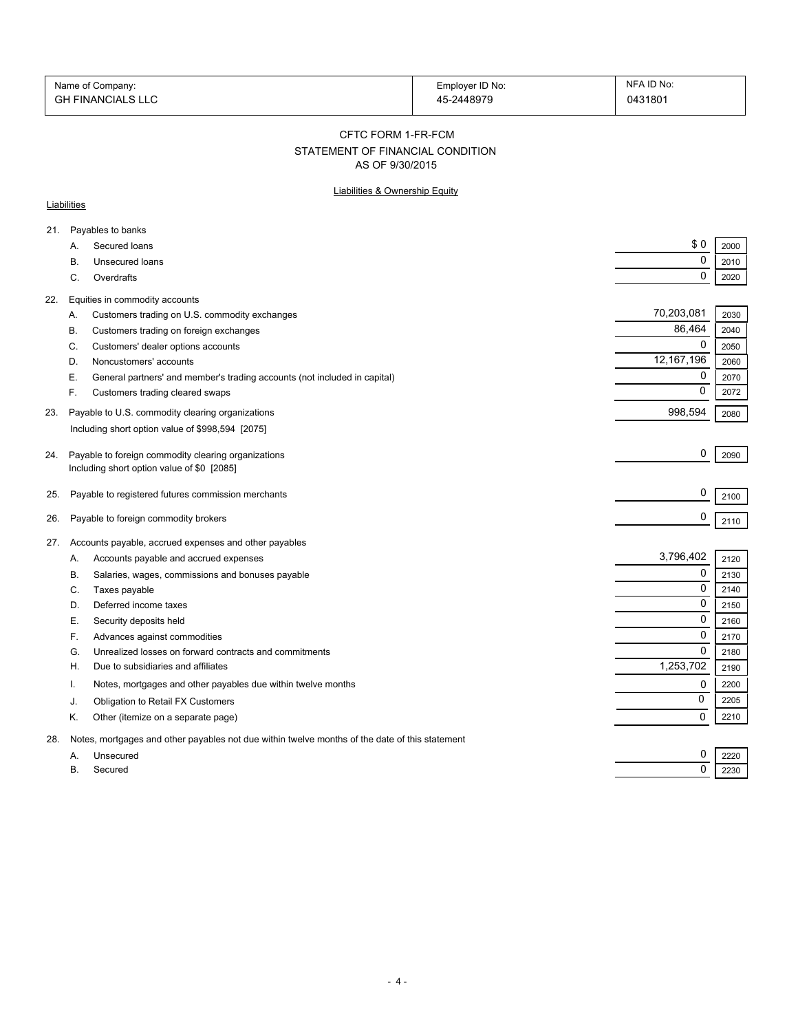| Name of Company:         | Employer ID No: | NFA ID No: |
|--------------------------|-----------------|------------|
| <b>GH FINANCIALS LLC</b> | 45-2448979      | 0431801    |

#### CFTC FORM 1-FR-FCM

# STATEMENT OF FINANCIAL CONDITION

AS OF 9/30/2015

## Liabilities & Ownership Equity

### **Liabilities**

| 21. |           | Payables to banks                                                                                 |              |      |
|-----|-----------|---------------------------------------------------------------------------------------------------|--------------|------|
|     | A.        | Secured loans                                                                                     | \$0          | 2000 |
|     | В.        | Unsecured loans                                                                                   | 0            | 2010 |
|     | C.        | Overdrafts                                                                                        | 0            | 2020 |
| 22. |           | Equities in commodity accounts                                                                    |              |      |
|     | Α.        | Customers trading on U.S. commodity exchanges                                                     | 70,203,081   | 2030 |
|     | В.        | Customers trading on foreign exchanges                                                            | 86,464       | 2040 |
|     | C.        | Customers' dealer options accounts                                                                | 0            | 2050 |
|     | D.        | Noncustomers' accounts                                                                            | 12, 167, 196 | 2060 |
|     | Е.        | General partners' and member's trading accounts (not included in capital)                         | 0            | 2070 |
|     | F.        | Customers trading cleared swaps                                                                   | $\Omega$     | 2072 |
| 23. |           | Payable to U.S. commodity clearing organizations                                                  | 998,594      | 2080 |
|     |           | Including short option value of \$998,594 [2075]                                                  |              |      |
|     |           |                                                                                                   | 0            |      |
| 24. |           | Payable to foreign commodity clearing organizations<br>Including short option value of \$0 [2085] |              | 2090 |
|     |           |                                                                                                   |              |      |
| 25. |           | Payable to registered futures commission merchants                                                | 0            | 2100 |
| 26. |           | Payable to foreign commodity brokers                                                              | 0            | 2110 |
|     |           |                                                                                                   |              |      |
| 27. |           | Accounts payable, accrued expenses and other payables                                             | 3,796,402    |      |
|     | Α.        | Accounts payable and accrued expenses                                                             | 0            | 2120 |
|     | В.        | Salaries, wages, commissions and bonuses payable                                                  | $\Omega$     | 2130 |
|     | C.        | Taxes payable                                                                                     | 0            | 2140 |
|     | D.        | Deferred income taxes                                                                             | 0            | 2150 |
|     | Е.        | Security deposits held                                                                            |              | 2160 |
|     | F.        | Advances against commodities                                                                      | 0            | 2170 |
|     | G.        | Unrealized losses on forward contracts and commitments                                            | $\Omega$     | 2180 |
|     | H         | Due to subsidiaries and affiliates                                                                | 1,253,702    | 2190 |
|     | Ι.        | Notes, mortgages and other payables due within twelve months                                      | 0            | 2200 |
|     | J.        | Obligation to Retail FX Customers                                                                 | 0            | 2205 |
|     | Κ.        | Other (itemize on a separate page)                                                                | $\Omega$     | 2210 |
| 28. |           | Notes, mortgages and other payables not due within twelve months of the date of this statement    |              |      |
|     | A.        | Unsecured                                                                                         | 0            | 2220 |
|     | <b>B.</b> | Secured                                                                                           | 0            | 2230 |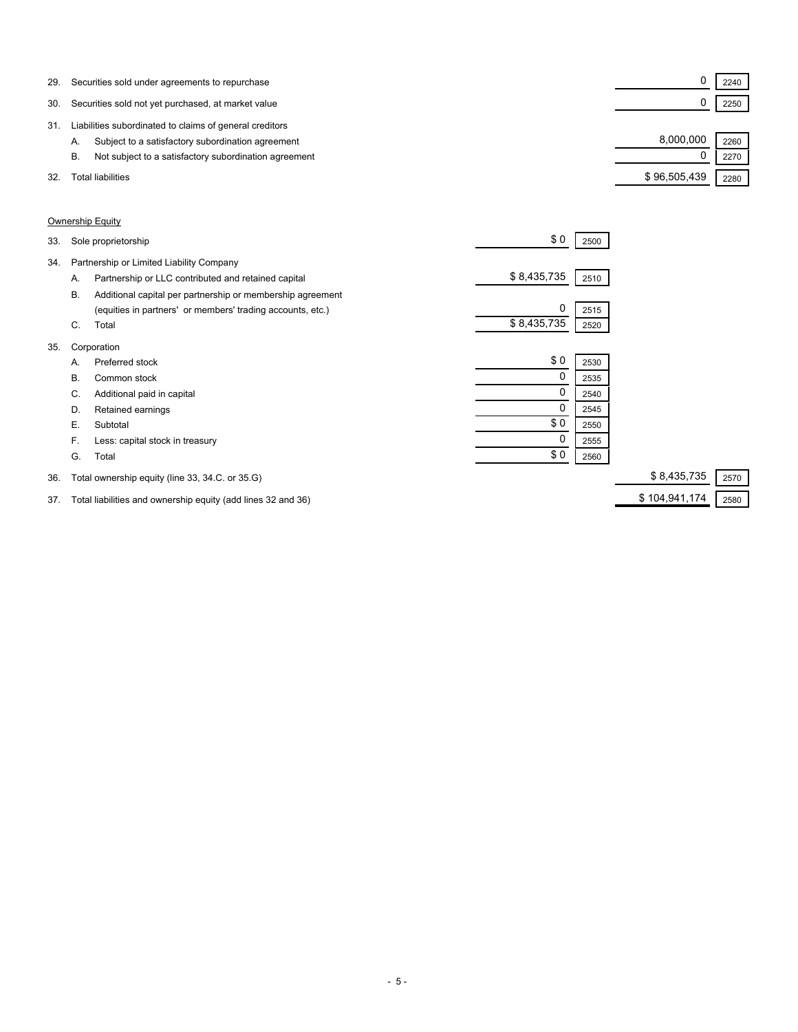| 29. | Securities sold under agreements to repurchase              |              | 2240 |  |
|-----|-------------------------------------------------------------|--------------|------|--|
| 30. | Securities sold not yet purchased, at market value          |              | 2250 |  |
| 31  | Liabilities subordinated to claims of general creditors     |              |      |  |
|     | Subject to a satisfactory subordination agreement<br>Α.     | 8.000.000    | 2260 |  |
|     | Not subject to a satisfactory subordination agreement<br>В. |              | 2270 |  |
| 32. | Total liabilities                                           | \$96,505,439 | 2280 |  |

### Ownership Equity

| 33. |    | Sole proprietorship                                        | \$0         | 2500 |                     |
|-----|----|------------------------------------------------------------|-------------|------|---------------------|
| 34. |    | Partnership or Limited Liability Company                   |             |      |                     |
|     | Α. | Partnership or LLC contributed and retained capital        | \$8,435,735 | 2510 |                     |
|     | В. | Additional capital per partnership or membership agreement |             |      |                     |
|     |    | (equities in partners' or members' trading accounts, etc.) | 0           | 2515 |                     |
|     | C. | Total                                                      | \$8,435,735 | 2520 |                     |
| 35. |    | Corporation                                                |             |      |                     |
|     | А. | Preferred stock                                            | \$0         | 2530 |                     |
|     | В. | Common stock                                               | 0           | 2535 |                     |
|     | C. | Additional paid in capital                                 | 0           | 2540 |                     |
|     | D. | Retained earnings                                          | 0           | 2545 |                     |
|     | Е. | Subtotal                                                   | \$0         | 2550 |                     |
|     | F. | Less: capital stock in treasury                            | 0           | 2555 |                     |
|     | G. | Total                                                      | \$0         | 2560 |                     |
| 36. |    | Total ownership equity (line 33, 34.C. or 35.G)            |             |      | \$8,435,735<br>2570 |

37. Total liabilities and ownership equity (add lines 32 and 36) \$ 104,941,174 2580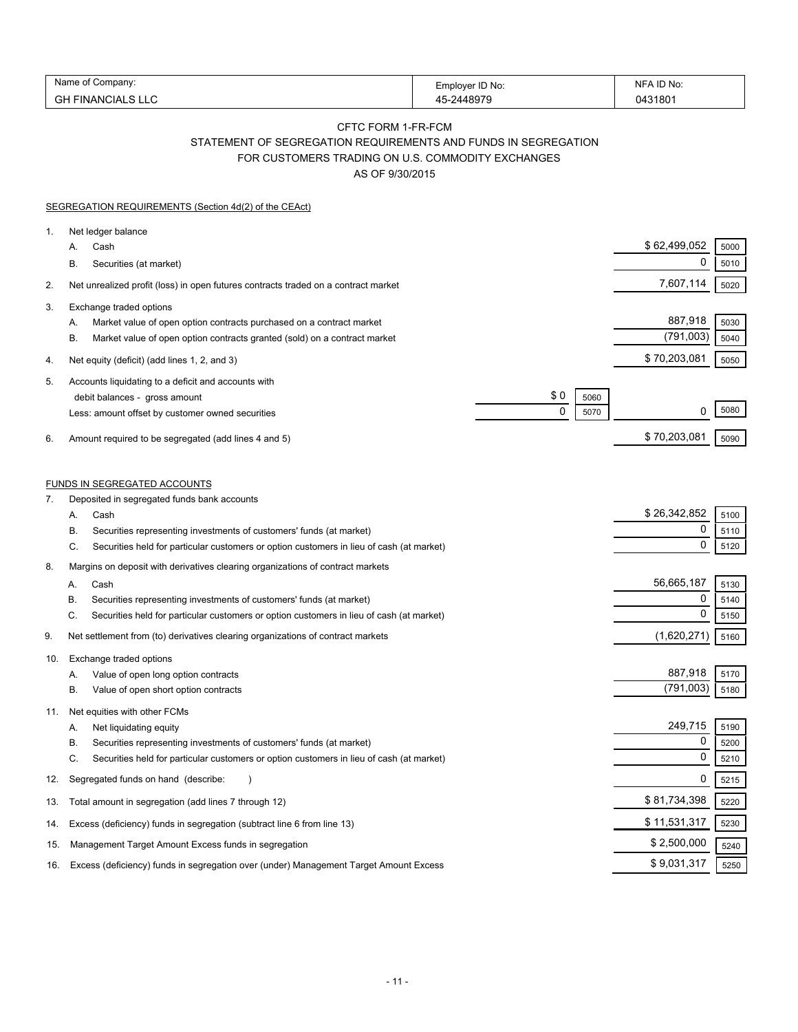| Name<br>:ompanv                          | Employer ID No:<br>---- | <b>ID No</b><br>NIF |
|------------------------------------------|-------------------------|---------------------|
| ⌒'<br>$\overline{M}$<br>יו ב <i>ו</i> וו | 1007c<br>.              | 043180 <sup>.</sup> |

## CFTC FORM 1-FR-FCM STATEMENT OF SEGREGATION REQUIREMENTS AND FUNDS IN SEGREGATION

FOR CUSTOMERS TRADING ON U.S. COMMODITY EXCHANGES

AS OF 9/30/2015

|          | <b>SEGREGATION REQUIREMENTS (Section 4d(2) of the CEAct)</b>                                                                                                                                                                                |                                 |                                                     |  |
|----------|---------------------------------------------------------------------------------------------------------------------------------------------------------------------------------------------------------------------------------------------|---------------------------------|-----------------------------------------------------|--|
| 1.       | Net ledger balance<br>Cash<br>А.<br>В.<br>Securities (at market)                                                                                                                                                                            |                                 | \$62,499,052<br>5000<br>0<br>5010                   |  |
| 2.       | Net unrealized profit (loss) in open futures contracts traded on a contract market                                                                                                                                                          |                                 | 7,607,114<br>5020                                   |  |
| 3.       | Exchange traded options<br>Market value of open option contracts purchased on a contract market<br>А.<br>В.<br>Market value of open option contracts granted (sold) on a contract market                                                    |                                 | 887,918<br>5030<br>(791,003)<br>5040                |  |
| 4.       | Net equity (deficit) (add lines 1, 2, and 3)                                                                                                                                                                                                |                                 | \$70,203,081<br>5050                                |  |
| 5.<br>6. | Accounts liquidating to a deficit and accounts with<br>debit balances - gross amount<br>Less: amount offset by customer owned securities<br>Amount required to be segregated (add lines 4 and 5)                                            | \$0<br>5060<br>$\Omega$<br>5070 | 5080<br>0<br>\$70,203,081<br>5090                   |  |
|          |                                                                                                                                                                                                                                             |                                 |                                                     |  |
| 7.       | <b>FUNDS IN SEGREGATED ACCOUNTS</b><br>Deposited in segregated funds bank accounts                                                                                                                                                          |                                 |                                                     |  |
|          | Cash<br>Α.<br>Securities representing investments of customers' funds (at market)<br>В.                                                                                                                                                     |                                 | \$26,342,852<br>5100<br>0<br>5110<br>0              |  |
| 8.       | Securities held for particular customers or option customers in lieu of cash (at market)<br>C.<br>Margins on deposit with derivatives clearing organizations of contract markets                                                            |                                 | 5120                                                |  |
|          | Cash<br>Α.<br>В.<br>Securities representing investments of customers' funds (at market)<br>C.<br>Securities held for particular customers or option customers in lieu of cash (at market)                                                   |                                 | 56,665,187<br>5130<br>0<br>5140<br>0<br>5150        |  |
| 9.       | Net settlement from (to) derivatives clearing organizations of contract markets                                                                                                                                                             |                                 | (1,620,271)<br>5160                                 |  |
| 10.      | Exchange traded options<br>Value of open long option contracts<br>А.<br>В.<br>Value of open short option contracts                                                                                                                          |                                 | 887,918<br>5170<br>(791,003)<br>5180                |  |
| 11.      | Net equities with other FCMs<br>Net liquidating equity<br>А.<br>Securities representing investments of customers' funds (at market)<br>В.<br>C.<br>Securities held for particular customers or option customers in lieu of cash (at market) |                                 | 249,715<br>5190<br>$\mathbf 0$<br>5200<br>0<br>5210 |  |
| 12.      | Segregated funds on hand (describe:                                                                                                                                                                                                         |                                 | 0<br>5215                                           |  |
| 13.      | Total amount in segregation (add lines 7 through 12)                                                                                                                                                                                        |                                 | \$81,734,398<br>5220                                |  |
| 14.      | Excess (deficiency) funds in segregation (subtract line 6 from line 13)                                                                                                                                                                     |                                 | \$11,531,317<br>5230                                |  |
| 15.      | Management Target Amount Excess funds in segregation                                                                                                                                                                                        |                                 | \$2,500,000<br>5240                                 |  |
| 16.      | Excess (deficiency) funds in segregation over (under) Management Target Amount Excess                                                                                                                                                       |                                 | \$9,031,317<br>5250                                 |  |
|          |                                                                                                                                                                                                                                             |                                 |                                                     |  |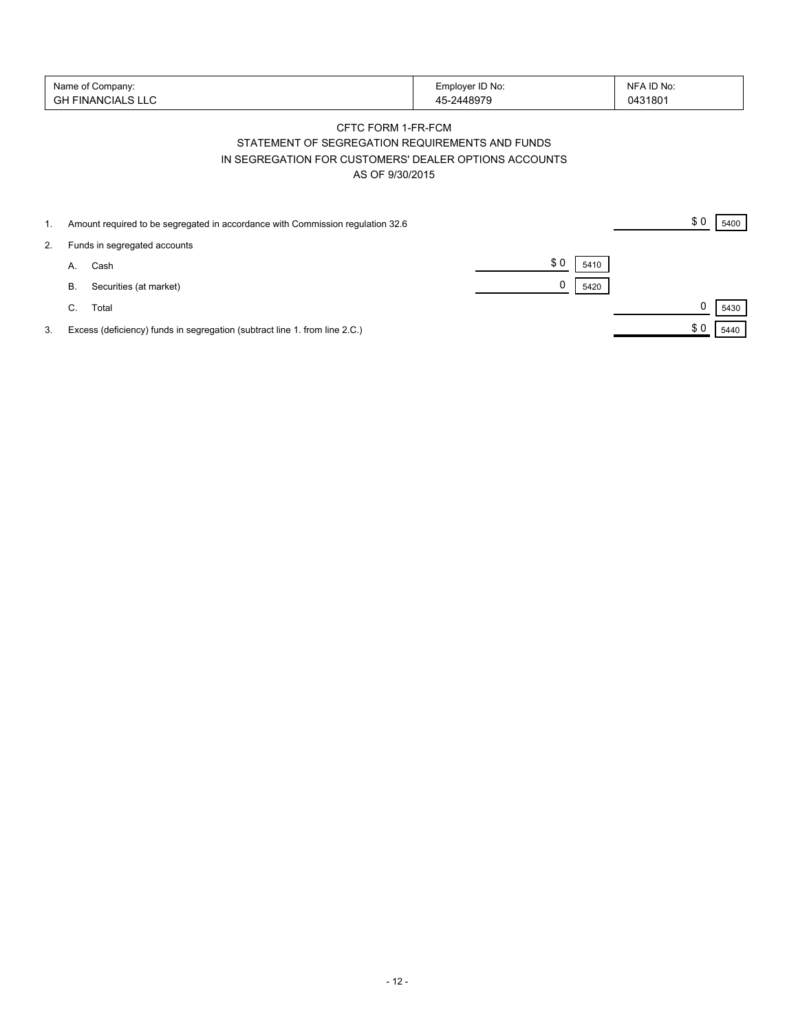| Name of Company:   | Employer ID No: | NFA ID No: |
|--------------------|-----------------|------------|
| 'GH FINANCIALS LLC | -2448979        | 0431801    |

# CFTC FORM 1-FR-FCM STATEMENT OF SEGREGATION REQUIREMENTS AND FUNDS IN SEGREGATION FOR CUSTOMERS' DEALER OPTIONS ACCOUNTS AS OF 9/30/2015

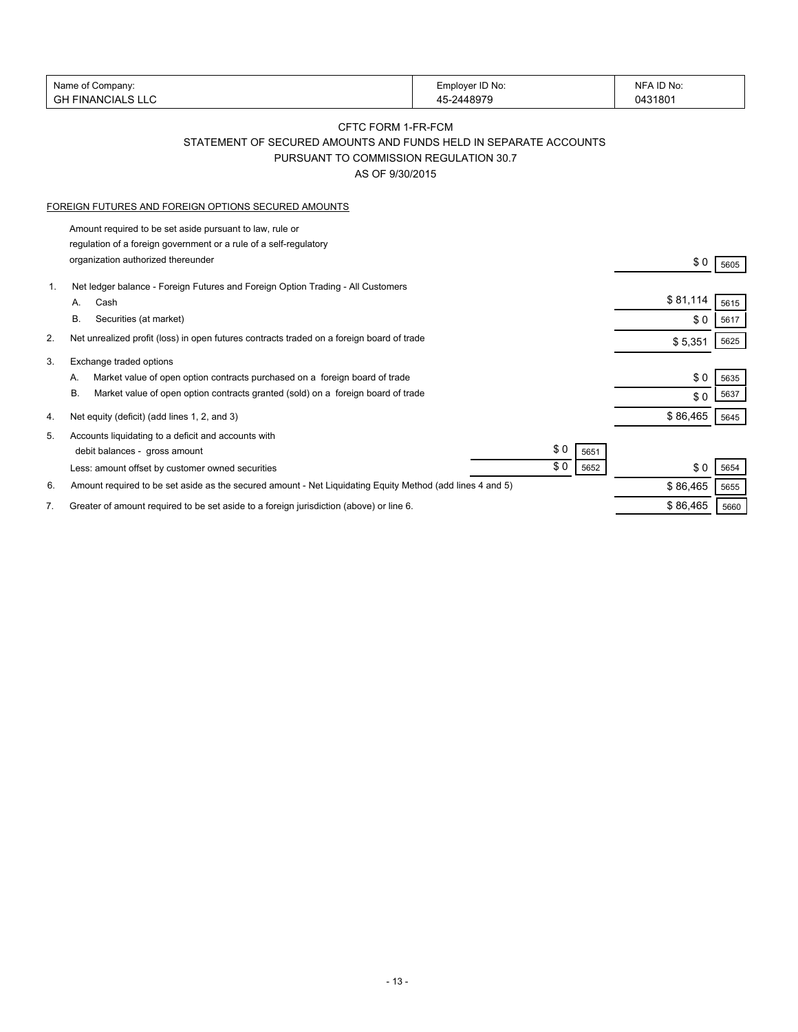| Name of Company:                                                                                                | Employer ID No:                                                  | NFA ID No:          |
|-----------------------------------------------------------------------------------------------------------------|------------------------------------------------------------------|---------------------|
| <b>GH FINANCIALS LLC</b>                                                                                        | 45-2448979                                                       | 0431801             |
|                                                                                                                 | CFTC FORM 1-FR-FCM                                               |                     |
|                                                                                                                 | STATEMENT OF SECURED AMOUNTS AND FUNDS HELD IN SEPARATE ACCOUNTS |                     |
|                                                                                                                 | PURSUANT TO COMMISSION REGULATION 30.7                           |                     |
|                                                                                                                 | AS OF 9/30/2015                                                  |                     |
|                                                                                                                 |                                                                  |                     |
| FOREIGN FUTURES AND FOREIGN OPTIONS SECURED AMOUNTS                                                             |                                                                  |                     |
| Amount required to be set aside pursuant to law, rule or                                                        |                                                                  |                     |
| regulation of a foreign government or a rule of a self-regulatory                                               |                                                                  |                     |
| organization authorized thereunder                                                                              |                                                                  | \$0<br>5605         |
| Net ledger balance - Foreign Futures and Foreign Option Trading - All Customers<br>1.                           |                                                                  |                     |
| Cash<br>А.                                                                                                      |                                                                  | \$81,114<br>5615    |
| В.<br>Securities (at market)                                                                                    |                                                                  | \$0<br>5617         |
| 2.<br>Net unrealized profit (loss) in open futures contracts traded on a foreign board of trade                 |                                                                  | \$5,351<br>5625     |
| 3.<br>Exchange traded options                                                                                   |                                                                  |                     |
| Market value of open option contracts purchased on a foreign board of trade<br>А.                               |                                                                  | \$0<br>5635         |
| Market value of open option contracts granted (sold) on a foreign board of trade<br>В.                          |                                                                  | 5637<br>\$0         |
|                                                                                                                 |                                                                  | \$86,465            |
| Net equity (deficit) (add lines 1, 2, and 3)<br>4.                                                              |                                                                  | 5645                |
| Accounts liquidating to a deficit and accounts with<br>5.                                                       | \$0                                                              |                     |
| debit balances - gross amount                                                                                   | \$0                                                              | 5651                |
| Less: amount offset by customer owned securities                                                                |                                                                  | \$0<br>5652<br>5654 |
| Amount required to be set aside as the secured amount - Net Liquidating Equity Method (add lines 4 and 5)<br>6. |                                                                  | \$86,465<br>5655    |
| Greater of amount required to be set aside to a foreign jurisdiction (above) or line 6.<br>7.                   |                                                                  | \$86,465<br>5660    |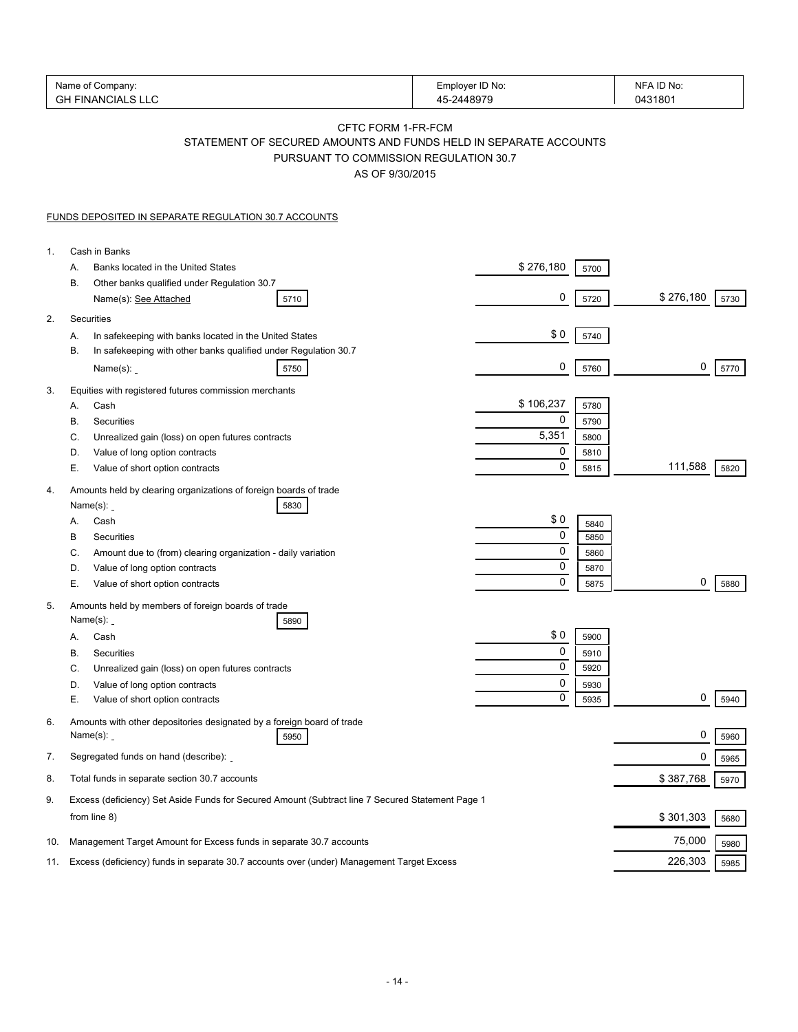| Name of Company:<br><b>GH FINANCIALS LLC</b>                                                                           | Employer ID No:<br>45-2448979                                                                                                                       | NFA ID No:<br>0431801 |
|------------------------------------------------------------------------------------------------------------------------|-----------------------------------------------------------------------------------------------------------------------------------------------------|-----------------------|
|                                                                                                                        | CFTC FORM 1-FR-FCM<br>STATEMENT OF SECURED AMOUNTS AND FUNDS HELD IN SEPARATE ACCOUNTS<br>PURSUANT TO COMMISSION REGULATION 30.7<br>AS OF 9/30/2015 |                       |
| <b>FUNDS DEPOSITED IN SEPARATE REGULATION 30.7 ACCOUNTS</b>                                                            |                                                                                                                                                     |                       |
| Cash in Banks<br>1.                                                                                                    |                                                                                                                                                     |                       |
| Banks located in the United States<br>А.                                                                               | \$276,180<br>5700                                                                                                                                   |                       |
| В.<br>Other banks qualified under Regulation 30.7<br>Name(s): See Attached<br>5710                                     | 0<br>5720                                                                                                                                           | \$276,180<br>5730     |
| 2.<br>Securities                                                                                                       |                                                                                                                                                     |                       |
| In safekeeping with banks located in the United States<br>А.                                                           | \$0<br>5740                                                                                                                                         |                       |
| In safekeeping with other banks qualified under Regulation 30.7<br>В.<br>Name $(s)$ :<br>5750                          | 0<br>5760                                                                                                                                           | 0<br>5770             |
| Equities with registered futures commission merchants<br>3.                                                            |                                                                                                                                                     |                       |
| Cash<br>А.                                                                                                             | \$106,237<br>5780                                                                                                                                   |                       |
| Securities<br>В.                                                                                                       | 0<br>5790                                                                                                                                           |                       |
| C.<br>Unrealized gain (loss) on open futures contracts<br>Value of long option contracts<br>D.                         | 5,351<br>5800<br>0<br>5810                                                                                                                          |                       |
| Е.<br>Value of short option contracts                                                                                  | $\mathbf 0$<br>5815                                                                                                                                 | 111,588<br>5820       |
| Amounts held by clearing organizations of foreign boards of trade<br>4.<br>Name $(s)$ :<br>5830                        |                                                                                                                                                     |                       |
| Cash<br>А.                                                                                                             | \$0<br>5840                                                                                                                                         |                       |
| В<br>Securities                                                                                                        | 0<br>5850                                                                                                                                           |                       |
| C.<br>Amount due to (from) clearing organization - daily variation                                                     | 0<br>5860                                                                                                                                           |                       |
| D.<br>Value of long option contracts                                                                                   | 0<br>5870                                                                                                                                           |                       |
| Е.<br>Value of short option contracts                                                                                  | 0<br>5875                                                                                                                                           | 0<br>5880             |
| Amounts held by members of foreign boards of trade<br>5.<br>Name $(s)$ :<br>5890                                       |                                                                                                                                                     |                       |
| Cash<br>А.                                                                                                             | \$0<br>5900                                                                                                                                         |                       |
| В.<br>Securities                                                                                                       | 0<br>5910                                                                                                                                           |                       |
| C.<br>Unrealized gain (loss) on open futures contracts                                                                 | 0<br>5920                                                                                                                                           |                       |
| Value of long option contracts<br>D.                                                                                   | 0<br>5930                                                                                                                                           |                       |
| Е.<br>Value of short option contracts                                                                                  | 0<br>5935                                                                                                                                           | 0<br>5940             |
| Amounts with other depositories designated by a foreign board of trade<br>6.<br>Name $(s)$ :<br>5950                   |                                                                                                                                                     | 0<br>5960             |
| Segregated funds on hand (describe):<br>7.                                                                             |                                                                                                                                                     | 0<br>5965             |
| Total funds in separate section 30.7 accounts<br>8.                                                                    |                                                                                                                                                     | \$387,768<br>5970     |
| Excess (deficiency) Set Aside Funds for Secured Amount (Subtract line 7 Secured Statement Page 1<br>9.<br>from line 8) |                                                                                                                                                     | \$301,303             |
| Management Target Amount for Excess funds in separate 30.7 accounts                                                    |                                                                                                                                                     | 5680<br>75,000        |
| 10.                                                                                                                    |                                                                                                                                                     | 5980                  |
| Excess (deficiency) funds in separate 30.7 accounts over (under) Management Target Excess<br>11.                       |                                                                                                                                                     | 226,303<br>5985       |